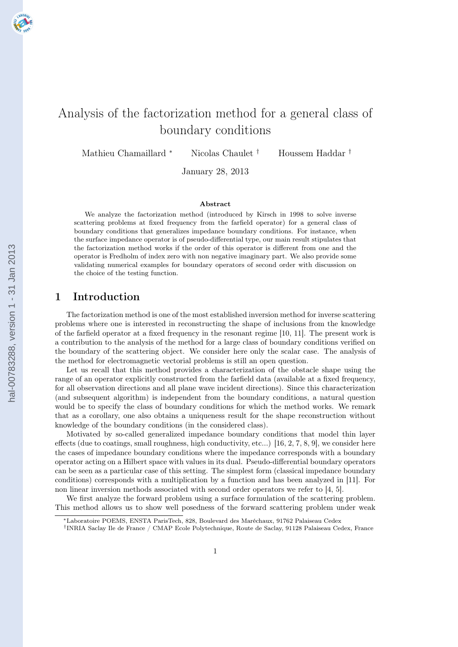

# Analysis of the factorization method for a general class of boundary conditions

Mathieu Chamaillard <sup>∗</sup> Nicolas Chaulet † Houssem Haddar †

January 28, 2013

#### Abstract

We analyze the factorization method (introduced by Kirsch in 1998 to solve inverse scattering problems at fixed frequency from the farfield operator) for a general class of boundary conditions that generalizes impedance boundary conditions. For instance, when the surface impedance operator is of pseudo-differential type, our main result stipulates that the factorization method works if the order of this operator is different from one and the operator is Fredholm of index zero with non negative imaginary part. We also provide some validating numerical examples for boundary operators of second order with discussion on the choice of the testing function.

## 1 Introduction

The factorization method is one of the most established inversion method for inverse scattering problems where one is interested in reconstructing the shape of inclusions from the knowledge of the farfield operator at a fixed frequency in the resonant regime [\[10, 11\]](#page-20-0). The present work is a contribution to the analysis of the method for a large class of boundary conditions verified on the boundary of the scattering object. We consider here only the scalar case. The analysis of the method for electromagnetic vectorial problems is still an open question.

Let us recall that this method provides a characterization of the obstacle shape using the range of an operator explicitly constructed from the farfield data (available at a fixed frequency, for all observation directions and all plane wave incident directions). Since this characterization (and subsequent algorithm) is independent from the boundary conditions, a natural question would be to specify the class of boundary conditions for which the method works. We remark that as a corollary, one also obtains a uniqueness result for the shape reconstruction without knowledge of the boundary conditions (in the considered class).

Motivated by so-called generalized impedance boundary conditions that model thin layer effects (due to coatings, small roughness, high conductivity, etc...) [\[16,](#page-20-0) [2,](#page-19-0) [7, 8, 9\]](#page-20-0), we consider here the cases of impedance boundary conditions where the impedance corresponds with a boundary operator acting on a Hilbert space with values in its dual. Pseudo-differential boundary operators can be seen as a particular case of this setting. The simplest form (classical impedance boundary conditions) corresponds with a multiplication by a function and has been analyzed in [\[11\]](#page-20-0). For non linear inversion methods associated with second order operators we refer to [\[4,](#page-19-0) [5\]](#page-20-0).

We first analyze the forward problem using a surface formulation of the scattering problem. This method allows us to show well posedness of the forward scattering problem under weak

<sup>∗</sup>Laboratoire POEMS, ENSTA ParisTech, 828, Boulevard des Maréchaux, 91762 Palaiseau Cedex

<sup>†</sup> INRIA Saclay Ile de France / CMAP Ecole Polytechnique, Route de Saclay, 91128 Palaiseau Cedex, France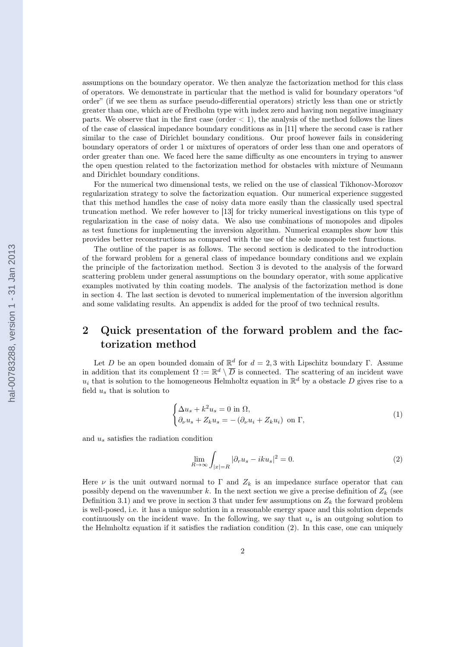<span id="page-1-0"></span>assumptions on the boundary operator. We then analyze the factorization method for this class of operators. We demonstrate in particular that the method is valid for boundary operators "of order" (if we see them as surface pseudo-differential operators) strictly less than one or strictly greater than one, which are of Fredholm type with index zero and having non negative imaginary parts. We observe that in the first case (order  $< 1$ ), the analysis of the method follows the lines of the case of classical impedance boundary conditions as in [\[11\]](#page-20-0) where the second case is rather similar to the case of Dirichlet boundary conditions. Our proof however fails in considering boundary operators of order 1 or mixtures of operators of order less than one and operators of order greater than one. We faced here the same difficulty as one encounters in trying to answer the open question related to the factorization method for obstacles with mixture of Neumann and Dirichlet boundary conditions.

For the numerical two dimensional tests, we relied on the use of classical Tikhonov-Morozov regularization strategy to solve the factorization equation. Our numerical experience suggested that this method handles the case of noisy data more easily than the classically used spectral truncation method. We refer however to [\[13\]](#page-20-0) for tricky numerical investigations on this type of regularization in the case of noisy data. We also use combinations of monopoles and dipoles as test functions for implementing the inversion algorithm. Numerical examples show how this provides better reconstructions as compared with the use of the sole monopole test functions.

The outline of the paper is as follows. The second section is dedicated to the introduction of the forward problem for a general class of impedance boundary conditions and we explain the principle of the factorization method. Section 3 is devoted to the analysis of the forward scattering problem under general assumptions on the boundary operator, with some applicative examples motivated by thin coating models. The analysis of the factorization method is done in section 4. The last section is devoted to numerical implementation of the inversion algorithm and some validating results. An appendix is added for the proof of two technical results.

# 2 Quick presentation of the forward problem and the factorization method

Let D be an open bounded domain of  $\mathbb{R}^d$  for  $d=2,3$  with Lipschitz boundary Γ. Assume in addition that its complement  $\Omega := \mathbb{R}^d \setminus \overline{D}$  is connected. The scattering of an incident wave  $u_i$  that is solution to the homogeneous Helmholtz equation in  $\mathbb{R}^d$  by a obstacle D gives rise to a field  $u_s$  that is solution to

$$
\begin{cases} \Delta u_s + k^2 u_s = 0 \text{ in } \Omega, \\ \partial_\nu u_s + Z_k u_s = -(\partial_\nu u_i + Z_k u_i) \text{ on } \Gamma, \end{cases}
$$
 (1)

and  $u_s$  satisfies the radiation condition

$$
\lim_{R \to \infty} \int_{|x|=R} |\partial_r u_s - iku_s|^2 = 0.
$$
\n(2)

Here  $\nu$  is the unit outward normal to  $\Gamma$  and  $Z_k$  is an impedance surface operator that can possibly depend on the wavenumber k. In the next section we give a precise definition of  $Z_k$  (see Definition [3.1\)](#page-3-0) and we prove in section [3](#page-2-0) that under few assumptions on  $Z_k$  the forward problem is well-posed, i.e. it has a unique solution in a reasonable energy space and this solution depends continuously on the incident wave. In the following, we say that  $u_s$  is an outgoing solution to the Helmholtz equation if it satisfies the radiation condition (2). In this case, one can uniquely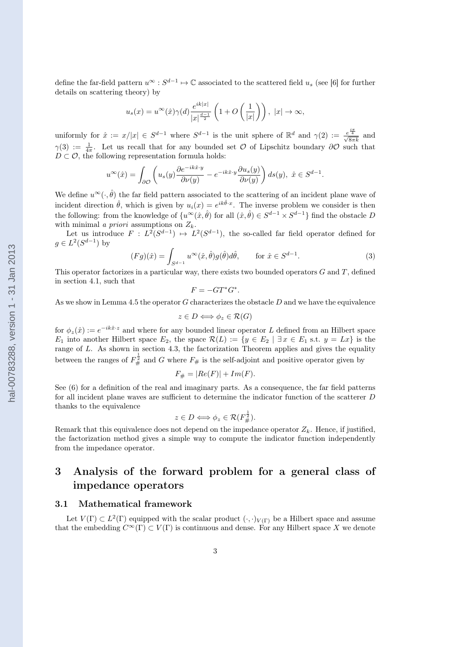<span id="page-2-0"></span>define the far-field pattern  $u^{\infty}$ :  $S^{d-1} \mapsto \mathbb{C}$  associated to the scattered field  $u_s$  (see [\[6\]](#page-20-0) for further details on scattering theory) by

$$
u_s(x) = u^{\infty}(\hat{x})\gamma(d)\frac{e^{ik|x|}}{|x|^{\frac{d-1}{2}}}\left(1 + O\left(\frac{1}{|x|}\right)\right), |x| \to \infty,
$$

uniformly for  $\hat{x} := x/|x| \in S^{d-1}$  where  $S^{d-1}$  is the unit sphere of  $\mathbb{R}^d$  and  $\gamma(2) := \frac{e^{\frac{i\pi}{4}}}{\sqrt{8\pi k}}$  and  $\gamma(3) := \frac{1}{4\pi}$ . Let us recall that for any bounded set O of Lipschitz boundary  $\partial\mathcal{O}$  such that  $D \subset \mathcal{O}$ , the following representation formula holds:

$$
u^\infty(\hat{x})=\int_{\partial \mathcal{O}}\left(u_s(y)\frac{\partial e^{-ik\hat{x}\cdot y}}{\partial \nu(y)}-e^{-ik\hat{x}\cdot y}\frac{\partial u_s(y)}{\partial \nu(y)}\right)ds(y),\,\,\hat{x}\in S^{d-1}.
$$

We define  $u^{\infty}(\cdot, \hat{\theta})$  the far field pattern associated to the scattering of an incident plane wave of incident direction  $\hat{\theta}$ , which is given by  $u_i(x) = e^{ik\hat{\theta}\cdot x}$ . The inverse problem we consider is then the following: from the knowledge of  $\{u^{\infty}(\hat{x}, \hat{\theta}) \text{ for all } (\hat{x}, \hat{\theta}) \in S^{d-1} \times S^{d-1} \}$  find the obstacle D with minimal *a priori* assumptions on  $Z_k$ .

Let us introduce  $F: L^2(S^{d-1}) \to L^2(S^{d-1})$ , the so-called far field operator defined for  $g \in L^2(S^{d-1})$  by

$$
(Fg)(\hat{x}) = \int_{S^{d-1}} u^{\infty}(\hat{x}, \hat{\theta}) g(\hat{\theta}) d\hat{\theta}, \quad \text{for } \hat{x} \in S^{d-1}.
$$
 (3)

This operator factorizes in a particular way, there exists two bounded operators  $G$  and  $T$ , defined in section [4.1,](#page-6-0) such that

$$
F = -GT^*G^*.
$$

As we show in Lemma [4.5](#page-9-0) the operator  $G$  characterizes the obstacle  $D$  and we have the equivalence

$$
z \in D \Longleftrightarrow \phi_z \in \mathcal{R}(G)
$$

for  $\phi_z(\hat{x}) := e^{-ik\hat{x}\cdot\hat{x}}$  and where for any bounded linear operator L defined from an Hilbert space  $E_1$  into another Hilbert space  $E_2$ , the space  $\mathcal{R}(L) := \{y \in E_2 \mid \exists x \in E_1 \text{ s.t. } y = Lx\}$  is the range of L. As shown in section [4.3,](#page-9-0) the factorization Theorem applies and gives the equality between the ranges of  $F_{\#}^{\frac{1}{2}}$  and G where  $F_{\#}$  is the self-adjoint and positive operator given by

$$
F_{\#} = |Re(F)| + Im(F).
$$

See [\(6\)](#page-3-0) for a definition of the real and imaginary parts. As a consequence, the far field patterns for all incident plane waves are sufficient to determine the indicator function of the scatterer D thanks to the equivalence

$$
z \in D \Longleftrightarrow \phi_z \in \mathcal{R}(F_{\#}^{\frac{1}{2}}).
$$

Remark that this equivalence does not depend on the impedance operator  $Z_k$ . Hence, if justified, the factorization method gives a simple way to compute the indicator function independently from the impedance operator.

# 3 Analysis of the forward problem for a general class of impedance operators

#### 3.1 Mathematical framework

Let  $V(\Gamma) \subset L^2(\Gamma)$  equipped with the scalar product  $(\cdot, \cdot)_{V(\Gamma)}$  be a Hilbert space and assume that the embedding  $C^{\infty}(\Gamma) \subset V(\Gamma)$  is continuous and dense. For any Hilbert space X we denote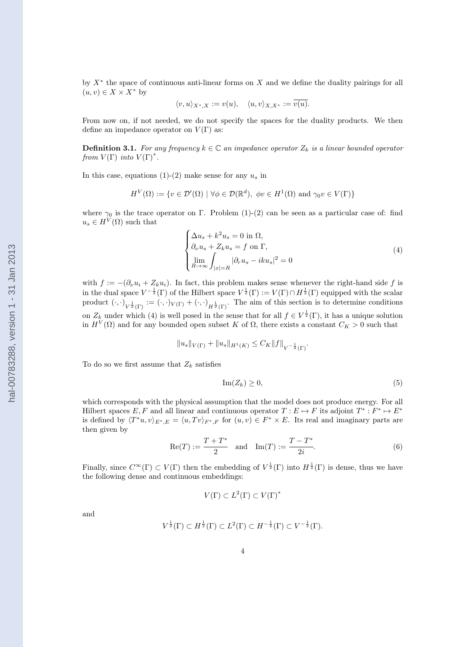<span id="page-3-0"></span>by  $X^*$  the space of continuous anti-linear forms on X and we define the duality pairings for all  $(u, v) \in X \times X^*$  by

$$
\langle v, u \rangle_{X^*,X} := v(u), \quad \langle u, v \rangle_{X,X^*} := \overline{v(u)}.
$$

From now on, if not needed, we do not specify the spaces for the duality products. We then define an impedance operator on  $V(\Gamma)$  as:

**Definition 3.1.** For any frequency  $k \in \mathbb{C}$  an impedance operator  $Z_k$  is a linear bounded operator from  $V(\Gamma)$  into  $V(\Gamma)^*$ .

In this case, equations [\(1\)](#page-1-0)-[\(2\)](#page-1-0) make sense for any  $u_s$  in

$$
H^V(\Omega) := \{ v \in \mathcal{D}'(\Omega) \mid \forall \phi \in \mathcal{D}(\mathbb{R}^d), \ \phi v \in H^1(\Omega) \text{ and } \gamma_0 v \in V(\Gamma) \}
$$

where  $\gamma_0$  is the trace operator on Γ. Problem [\(1\)](#page-1-0)-[\(2\)](#page-1-0) can be seen as a particular case of: find  $u_s \in H^V(\Omega)$  such that

$$
\begin{cases}\n\Delta u_s + k^2 u_s = 0 \text{ in } \Omega, \\
\partial_\nu u_s + Z_k u_s = f \text{ on } \Gamma, \\
\lim_{R \to \infty} \int_{|x|=R} |\partial_r u_s - iku_s|^2 = 0\n\end{cases}
$$
\n(4)

with  $f := -(\partial_{\nu}u_i + Z_ku_i)$ . In fact, this problem makes sense whenever the right-hand side f is in the dual space  $V^{-\frac{1}{2}}(\Gamma)$  of the Hilbert space  $V^{\frac{1}{2}}(\Gamma) := V(\Gamma) \cap H^{\frac{1}{2}}(\Gamma)$  equipped with the scalar product  $(\cdot, \cdot)_{V^{\frac{1}{2}}(\Gamma)} := (\cdot, \cdot)_{V(\Gamma)} + (\cdot, \cdot)_{H^{\frac{1}{2}}(\Gamma)}$ . The aim of this section is to determine conditions on  $Z_k$  under which (4) is well posed in the sense that for all  $f \in V^{\frac{1}{2}}(\Gamma)$ , it has a unique solution in  $H^V(\Omega)$  and for any bounded open subset K of  $\Omega$ , there exists a constant  $C_K > 0$  such that

$$
||u_s||_{V(\Gamma)} + ||u_s||_{H^1(K)} \leq C_K ||f||_{V^{-\frac{1}{2}}(\Gamma)}.
$$

To do so we first assume that  $Z_k$  satisfies

$$
\operatorname{Im}(Z_k) \ge 0,\tag{5}
$$

which corresponds with the physical assumption that the model does not produce energy. For all Hilbert spaces  $E, F$  and all linear and continuous operator  $T : E \mapsto F$  its adjoint  $T^* : F^* \mapsto E^*$ is defined by  $\langle T^*u, v \rangle_{E^*,E} = \langle u, Tv \rangle_{F^*,F}$  for  $(u, v) \in F^* \times E$ . Its real and imaginary parts are then given by

Re(T) := 
$$
\frac{T + T^*}{2}
$$
 and Im(T) :=  $\frac{T - T^*}{2i}$ . (6)

Finally, since  $C^{\infty}(\Gamma) \subset V(\Gamma)$  then the embedding of  $V^{\frac{1}{2}}(\Gamma)$  into  $H^{\frac{1}{2}}(\Gamma)$  is dense, thus we have the following dense and continuous embeddings:

$$
V(\Gamma) \subset L^2(\Gamma) \subset V(\Gamma)^*
$$

and

$$
V^{\frac{1}{2}}(\Gamma) \subset H^{\frac{1}{2}}(\Gamma) \subset L^2(\Gamma) \subset H^{-\frac{1}{2}}(\Gamma) \subset V^{-\frac{1}{2}}(\Gamma).
$$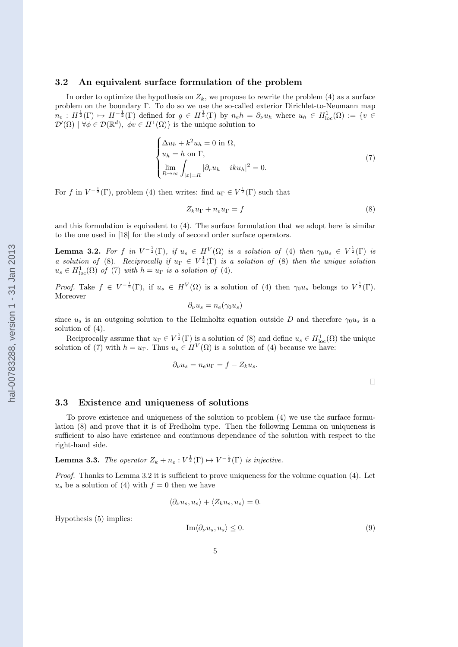#### <span id="page-4-0"></span>3.2 An equivalent surface formulation of the problem

In order to optimize the hypothesis on  $Z_k$ , we propose to rewrite the problem [\(4\)](#page-3-0) as a surface problem on the boundary Γ. To do so we use the so-called exterior Dirichlet-to-Neumann map  $n_e: H^{\frac{1}{2}}(\Gamma) \mapsto H^{-\frac{1}{2}}(\Gamma)$  defined for  $g \in H^{\frac{1}{2}}(\Gamma)$  by  $n_e h = \partial_\nu u_h$  where  $u_h \in H^1_{loc}(\Omega) := \{v \in \mathbb{R}^d\}$  $\mathcal{D}'(\Omega) | \forall \phi \in \mathcal{D}(\mathbb{R}^d), \ \phi v \in H^1(\Omega) \}$  is the unique solution to

$$
\begin{cases}\n\Delta u_h + k^2 u_h = 0 \text{ in } \Omega, \\
u_h = h \text{ on } \Gamma, \\
\lim_{R \to \infty} \int_{|x|=R} |\partial_r u_h - iku_h|^2 = 0.\n\end{cases}
$$
\n(7)

For f in  $V^{-\frac{1}{2}}(\Gamma)$ , problem [\(4\)](#page-3-0) then writes: find  $u_{\Gamma} \in V^{\frac{1}{2}}(\Gamma)$  such that

$$
Z_k u_{\Gamma} + n_e u_{\Gamma} = f \tag{8}
$$

and this formulation is equivalent to [\(4\)](#page-3-0). The surface formulation that we adopt here is similar to the one used in [\[18\]](#page-20-0) for the study of second order surface operators.

**Lemma 3.2.** For f in  $V^{-\frac{1}{2}}(\Gamma)$ , if  $u_s \in H^V(\Omega)$  is a solution of [\(4\)](#page-3-0) then  $\gamma_0 u_s \in V^{\frac{1}{2}}(\Gamma)$  is a solution of (8). Reciprocally if  $u_{\Gamma} \in V^{\frac{1}{2}}(\Gamma)$  is a solution of (8) then the unique solution  $u_s \in H_{loc}^1(\Omega)$  of (7) with  $h = u_\Gamma$  is a solution of [\(4\)](#page-3-0).

Proof. Take  $f \in V^{-\frac{1}{2}}(\Gamma)$ , if  $u_s \in H^V(\Omega)$  is a solution of [\(4\)](#page-3-0) then  $\gamma_0 u_s$  belongs to  $V^{\frac{1}{2}}(\Gamma)$ . Moreover

$$
\partial_{\nu}u_s = n_e(\gamma_0 u_s)
$$

since  $u_s$  is an outgoing solution to the Helmholtz equation outside D and therefore  $\gamma_0u_s$  is a solution of [\(4\)](#page-3-0).

Reciprocally assume that  $u_{\Gamma} \in V^{\frac{1}{2}}(\Gamma)$  is a solution of (8) and define  $u_s \in H^1_{loc}(\Omega)$  the unique solution of (7) with  $h = u_{\Gamma}$ . Thus  $u_s \in H^V(\Omega)$  is a solution of [\(4\)](#page-3-0) because we have:

$$
\partial_{\nu}u_s = n_e u_{\Gamma} = f - Z_k u_s.
$$

 $\Box$ 

#### 3.3 Existence and uniqueness of solutions

To prove existence and uniqueness of the solution to problem [\(4\)](#page-3-0) we use the surface formulation (8) and prove that it is of Fredholm type. Then the following Lemma on uniqueness is sufficient to also have existence and continuous dependance of the solution with respect to the right-hand side.

**Lemma 3.3.** The operator  $Z_k + n_e : V^{\frac{1}{2}}(\Gamma) \mapsto V^{-\frac{1}{2}}(\Gamma)$  is injective.

Proof. Thanks to Lemma 3.2 it is sufficient to prove uniqueness for the volume equation [\(4\)](#page-3-0). Let  $u_s$  be a solution of [\(4\)](#page-3-0) with  $f = 0$  then we have

$$
\langle \partial_{\nu} u_s, u_s \rangle + \langle Z_k u_s, u_s \rangle = 0.
$$

Hypothesis [\(5\)](#page-3-0) implies:

$$
\operatorname{Im}\langle \partial_{\nu} u_s, u_s \rangle \le 0. \tag{9}
$$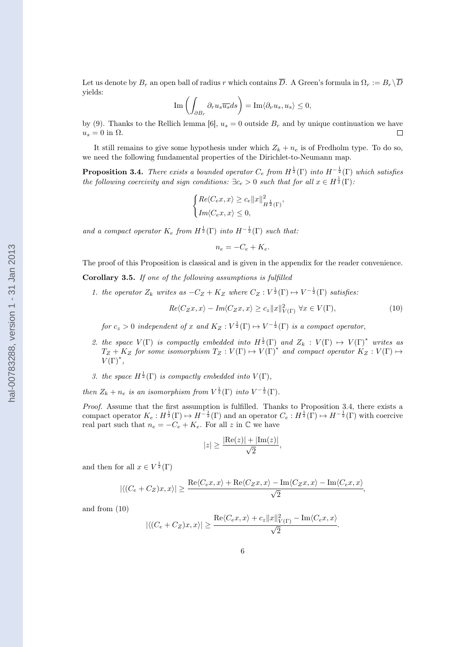$$
\operatorname{Im}\left(\int_{\partial B_r} \partial_r u_s \overline{u_s} ds\right) = \operatorname{Im}\langle \partial_\nu u_s, u_s \rangle \le 0,
$$

<span id="page-5-0"></span>by [\(9\)](#page-4-0). Thanks to the Rellich lemma [\[6\]](#page-20-0),  $u_s = 0$  outside  $B_r$  and by unique continuation we have  $u_s = 0$  in  $\Omega$ .  $\Box$ 

It still remains to give some hypothesis under which  $Z_k + n_e$  is of Fredholm type. To do so, we need the following fundamental properties of the Dirichlet-to-Neumann map.

**Proposition 3.4.** There exists a bounded operator  $C_e$  from  $H^{\frac{1}{2}}(\Gamma)$  into  $H^{-\frac{1}{2}}(\Gamma)$  which satisfies the following coercivity and sign conditions:  $\exists c_e > 0$  such that for all  $x \in H^{\frac{1}{2}}(\Gamma)$ .

$$
\begin{cases} Re\langle C_e x, x \rangle \ge c_e ||x||_{H^{\frac{1}{2}}(\Gamma)}^2, \\ Im\langle C_e x, x \rangle \le 0, \end{cases}
$$

and a compact operator  $K_e$  from  $H^{\frac{1}{2}}(\Gamma)$  into  $H^{-\frac{1}{2}}(\Gamma)$  such that:

 $n_e = -C_e + K_e.$ 

The proof of this Proposition is classical and is given in the appendix for the reader convenience.

Corollary 3.5. If one of the following assumptions is fulfilled

1. the operator  $Z_k$  writes as  $-C_Z + K_Z$  where  $C_Z : V^{\frac{1}{2}}(\Gamma) \mapsto V^{-\frac{1}{2}}(\Gamma)$  satisfies:

$$
Re\langle C_Zx, x\rangle - Im\langle C_Zx, x\rangle \ge c_z \|x\|_{V(\Gamma)}^2 \ \forall x \in V(\Gamma),\tag{10}
$$

for  $c_z > 0$  independent of x and  $K_Z : V^{\frac{1}{2}}(\Gamma) \mapsto V^{-\frac{1}{2}}(\Gamma)$  is a compact operator,

- 2. the space  $V(\Gamma)$  is compactly embedded into  $H^{\frac{1}{2}}(\Gamma)$  and  $Z_k : V(\Gamma) \mapsto V(\Gamma)^*$  writes as  $T_Z + K_Z$  for some isomorphism  $T_Z : V(\Gamma) \to V(\Gamma)^*$  and compact operator  $K_Z : V(\Gamma) \mapsto$  $V(\Gamma)^*,$
- 3. the space  $H^{\frac{1}{2}}(\Gamma)$  is compactly embedded into  $V(\Gamma)$ ,

then  $Z_k + n_e$  is an isomorphism from  $V^{\frac{1}{2}}(\Gamma)$  into  $V^{-\frac{1}{2}}(\Gamma)$ .

Proof. Assume that the first assumption is fulfilled. Thanks to Proposition 3.4, there exists a compact operator  $K_e: H^{\frac{1}{2}}(\Gamma) \mapsto H^{-\frac{1}{2}}(\Gamma)$  and an operator  $C_e: H^{\frac{1}{2}}(\Gamma) \mapsto H^{-\frac{1}{2}}(\Gamma)$  with coercive real part such that  $n_e = -C_e + K_e$ . For all z in  $\mathbb C$  we have

$$
|z| \ge \frac{|\text{Re}(z)| + |\text{Im}(z)|}{\sqrt{2}},
$$

and then for all  $x \in V^{\frac{1}{2}}(\Gamma)$ 

$$
|\langle (C_e + C_Z)x, x \rangle| \ge \frac{\text{Re}\langle C_e x, x \rangle + \text{Re}\langle C_Z x, x \rangle - \text{Im}\langle C_Z x, x \rangle - \text{Im}\langle C_e x, x \rangle}{\sqrt{2}},
$$

and from (10)

$$
|\langle (C_e + C_Z)x, x \rangle| \ge \frac{\text{Re}\langle C_e x, x \rangle + c_z ||x||^2_{V(\Gamma)} - \text{Im}\langle C_e x, x \rangle}{\sqrt{2}}.
$$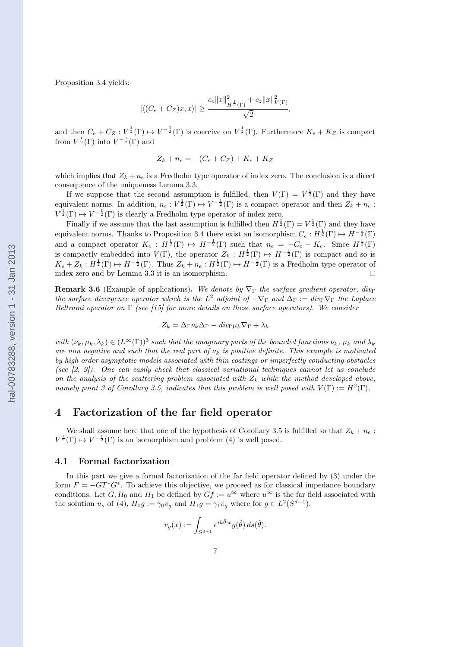<span id="page-6-0"></span>Proposition [3.4](#page-5-0) yields:

$$
|\langle (C_e + C_Z)x, x \rangle| \ge \frac{c_e \|x\|_{H^{\frac{1}{2}}(\Gamma)}^2 + c_z \|x\|_{V(\Gamma)}^2}{\sqrt{2}},
$$

and then  $C_e + C_Z : V^{\frac{1}{2}}(\Gamma) \mapsto V^{-\frac{1}{2}}(\Gamma)$  is coercive on  $V^{\frac{1}{2}}(\Gamma)$ . Furthermore  $K_e + K_Z$  is compact from  $V^{\frac{1}{2}}(\Gamma)$  into  $V^{-\frac{1}{2}}(\Gamma)$  and

$$
Z_k + n_e = -(C_e + C_Z) + K_e + K_Z
$$

which implies that  $Z_k + n_e$  is a Fredholm type operator of index zero. The conclusion is a direct consequence of the uniqueness Lemma [3.3.](#page-4-0)

If we suppose that the second assumption is fulfilled, then  $V(\Gamma) = V^{\frac{1}{2}}(\Gamma)$  and they have equivalent norms. In addition,  $n_e: V^{\frac{1}{2}}(\Gamma) \mapsto V^{-\frac{1}{2}}(\Gamma)$  is a compact operator and then  $Z_k + n_e$ :  $V^{\frac{1}{2}}(\Gamma) \mapsto V^{-\frac{1}{2}}(\Gamma)$  is clearly a Fredholm type operator of index zero.

Finally if we assume that the last assumption is fulfilled then  $H^{\frac{1}{2}}(\Gamma) = V^{\frac{1}{2}}(\Gamma)$  and they have equivalent norms. Thanks to Proposition [3.4](#page-5-0) there exist an isomorphism  $C_e : H^{\frac{1}{2}}(\Gamma) \mapsto H^{-\frac{1}{2}}(\Gamma)$ and a compact operator  $K_e$ :  $H^{\frac{1}{2}}(\Gamma) \mapsto H^{-\frac{1}{2}}(\Gamma)$  such that  $n_e = -C_e + K_e$ . Since  $H^{\frac{1}{2}}(\Gamma)$ is compactly embedded into  $V(\Gamma)$ , the operator  $Z_k : H^{\frac{1}{2}}(\Gamma) \mapsto H^{-\frac{1}{2}}(\Gamma)$  is compact and so is  $K_e + Z_k : H^{\frac{1}{2}}(\Gamma) \mapsto H^{-\frac{1}{2}}(\Gamma)$ . Thus  $Z_k + n_e : H^{\frac{1}{2}}(\Gamma) \mapsto H^{-\frac{1}{2}}(\Gamma)$  is a Fredholm type operator of index zero and by Lemma [3.3](#page-4-0) it is an isomorphism.  $\Box$ 

**Remark 3.6** (Example of applications). We denote by  $\nabla_{\Gamma}$  the surface gradient operator, div<sub>Γ</sub> the surface divergence operator which is the  $L^2$  adjoint of  $-\nabla_{\Gamma}$  and  $\Delta_{\Gamma} := \text{div}_{\Gamma} \nabla_{\Gamma}$  the Laplace Beltrami operator on  $\Gamma$  (see [\[15\]](#page-20-0) for more details on these surface operators). We consider

$$
Z_k = \Delta_{\Gamma} \nu_k \Delta_{\Gamma} - \operatorname{div}_{\Gamma} \mu_k \nabla_{\Gamma} + \lambda_k
$$

with  $(\nu_k, \mu_k, \lambda_k) \in (L^{\infty}(\Gamma))^3$  such that the imaginary parts of the bounded functions  $\nu_k$ ,  $\mu_k$  and  $\lambda_k$ are non negative and such that the real part of  $\nu_k$  is positive definite. This example is motivated by high order asymptotic models associated with thin coatings or imperfectly conducting obstacles (see  $(2, 9)$ ). One can easily check that classical variational techniques cannot let us conclude on the analysis of the scattering problem associated with  $Z_k$  while the method developed above, namely point 3 of Corollary [3.5,](#page-5-0) indicates that this problem is well posed with  $V(\Gamma) := H^2(\Gamma)$ .

## 4 Factorization of the far field operator

We shall assume here that one of the hypothesis of Corollary [3.5](#page-5-0) is fulfilled so that  $Z_k + n_e$ :  $V^{\frac{1}{2}}(\Gamma) \mapsto V^{-\frac{1}{2}}(\Gamma)$  is an isomorphism and problem [\(4\)](#page-3-0) is well posed.

#### 4.1 Formal factorization

In this part we give a formal factorization of the far field operator defined by [\(3\)](#page-2-0) under the form  $F = -GT^*G^*$ . To achieve this objective, we proceed as for classical impedance boundary conditions. Let G,  $H_0$  and  $H_1$  be defined by  $Gf := u^{\infty}$  where  $u^{\infty}$  is the far field associated with the solution  $u_s$  of [\(4\)](#page-3-0),  $H_0 g := \gamma_0 v_g$  and  $H_1 g = \gamma_1 v_g$  where for  $g \in L^2(S^{d-1})$ ,

$$
v_g(x) := \int_{S^{d-1}} e^{ik\hat{\theta} \cdot x} g(\hat{\theta}) ds(\hat{\theta}).
$$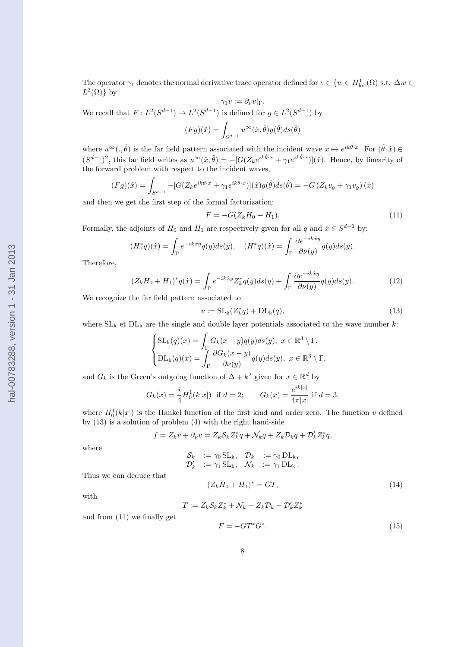<span id="page-7-0"></span>We recall that  $F: L^2(S^{d-1}) \to L^2(S^{d-1})$  is defined for  $g \in L^2(S^{d-1})$  by  $(Fg)(\hat{x}) =$  $S^{d-1}$  $u^\infty(\hat x,\hat\theta)g(\hat\theta)ds(\hat\theta)$ where  $u^{\infty}(.,\hat{\theta})$  is the far field pattern associated with the incident wave  $x \mapsto e^{ik\hat{\theta}\cdot x}$ . For  $(\hat{\theta},\hat{x}) \in$ 

 $(S^{d-1})^2$ , this far field writes as  $u^{\infty}(\hat{x}, \hat{\theta}) = -[G(Z_k e^{ik\hat{\theta} \cdot x} + \gamma_1 e^{ik\hat{\theta} \cdot x})](\hat{x})$ . Hence, by linearity of the forward problem with respect to the incident waves,

The operator  $\gamma_1$  denotes the normal derivative trace operator defined for  $v \in \{w \in H^1_{loc}(\Omega) \text{ s.t. } \Delta w \in H^1_{loc}(\Omega) \}$ 

 $\gamma_1 v := \partial_\nu v|_{\Gamma}.$ 

$$
(Fg)(\hat{x}) = \int_{S^{d-1}} -[G(Z_k e^{ik\hat{\theta}\cdot x} + \gamma_1 e^{ik\hat{\theta}\cdot x})](\hat{x})g(\hat{\theta})ds(\hat{\theta}) = -G(Z_k v_g + \gamma_1 v_g)(\hat{x})
$$

and then we get the first step of the formal factorization:

$$
F = -G(Z_k H_0 + H_1). \tag{11}
$$

Formally, the adjoints of  $H_0$  and  $H_1$  are respectively given for all q and  $\hat{x} \in S^{d-1}$  by:

$$
(H_0^*q)(\hat{x}) = \int_{\Gamma} e^{-ik\hat{x}y} q(y) ds(y), \quad (H_1^*q)(\hat{x}) = \int_{\Gamma} \frac{\partial e^{-ik\hat{x}y}}{\partial \nu(y)} q(y) ds(y).
$$

Therefore,

 $L^2(\Omega)$  by

$$
(Z_k H_0 + H_1)^* q(\hat{x}) = \int_{\Gamma} e^{-ik\hat{x}y} Z_k^* q(y) ds(y) + \int_{\Gamma} \frac{\partial e^{-ik\hat{x}y}}{\partial \nu(y)} q(y) ds(y).
$$
 (12)

We recognize the far field pattern associated to

$$
v := \mathrm{SL}_{k}(Z_{k}^{*}q) + \mathrm{DL}_{k}(q), \tag{13}
$$

where  $SL_k$  et  $DL_k$  are the single and double layer potentials associated to the wave number k:

$$
\begin{cases} \text{SL}_k(q)(x) = \int_{\Gamma} G_k(x - y)q(y)ds(y), \ x \in \mathbb{R}^3 \setminus \Gamma, \\ \text{DL}_k(q)(x) = \int_{\Gamma} \frac{\partial G_k(x - y)}{\partial \nu(y)} q(y)ds(y), \ x \in \mathbb{R}^3 \setminus \Gamma, \end{cases}
$$

and  $G_k$  is the Green's outgoing function of  $\Delta + k^2$  given for  $x \in \mathbb{R}^d$  by

$$
G_k(x) = \frac{i}{4} H_0^1(k|x|)
$$
 if  $d = 2$ ;  $G_k(x) = \frac{e^{ik|x|}}{4\pi|x|}$  if  $d = 3$ ,

where  $H_0^1(k|x|)$  is the Hankel function of the first kind and order zero. The function v defined by (13) is a solution of problem [\(4\)](#page-3-0) with the right hand-side

$$
f = Z_k v + \partial_\nu v = Z_k \mathcal{S}_k Z_k^* q + \mathcal{N}_k q + Z_k \mathcal{D}_k q + \mathcal{D}'_k Z_k^* q,
$$

where

$$
\begin{array}{lcl} \mathcal{S}_k &:= \gamma_0 \operatorname{SL}_\mathbf{k}, \quad \mathcal{D}_k &:= \gamma_0 \operatorname{DL}_\mathbf{k}, \\ \mathcal{D}'_k &:= \gamma_1 \operatorname{SL}_\mathbf{k}, \quad \mathcal{N}_k &:= \gamma_1 \operatorname{DL}_\mathbf{k}. \end{array}
$$

Thus we can deduce that

and from (11) we finally get

with

$$
(Z_k H_0 + H_1)^* = GT,
$$
\n(14)

$$
T := Z_k \mathcal{S}_k Z_k^* + \mathcal{N}_k + Z_k \mathcal{D}_k + \mathcal{D}'_k Z_k^*
$$

$$
F = -GT^* G^*.
$$
 (15)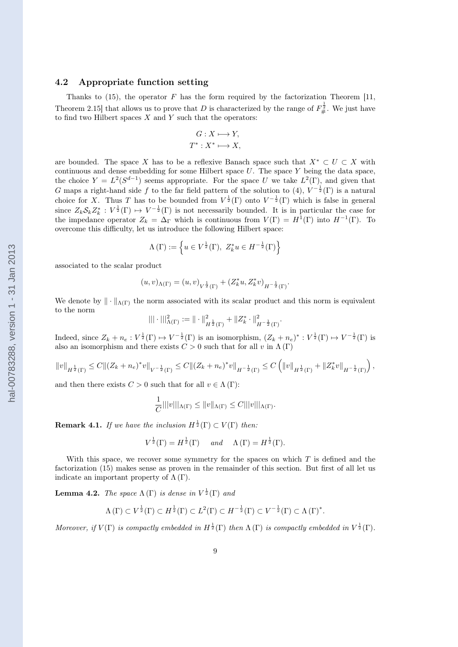### <span id="page-8-0"></span>4.2 Appropriate function setting

Thanks to [\(15\)](#page-7-0), the operator  $F$  has the form required by the factorization Theorem [\[11,](#page-20-0) Theorem 2.15] that allows us to prove that D is characterized by the range of  $F_{\#}^{\frac{1}{2}}$ . We just have to find two Hilbert spaces  $X$  and  $Y$  such that the operators:

$$
G: X \longmapsto Y,
$$
  

$$
T^*: X^* \longmapsto X,
$$

are bounded. The space X has to be a reflexive Banach space such that  $X^* \subset U \subset X$  with continuous and dense embedding for some Hilbert space  $U$ . The space  $Y$  being the data space, the choice  $Y = L^2(S^{d-1})$  seems appropriate. For the space U we take  $L^2(\Gamma)$ , and given that G maps a right-hand side f to the far field pattern of the solution to [\(4\)](#page-3-0),  $V^{-\frac{1}{2}}(\Gamma)$  is a natural choice for X. Thus T has to be bounded from  $V^{\frac{1}{2}}(\Gamma)$  onto  $V^{-\frac{1}{2}}(\Gamma)$  which is false in general since  $Z_k \mathcal{S}_k Z_k^* : V^{\frac{1}{2}}(\Gamma) \mapsto V^{-\frac{1}{2}}(\Gamma)$  is not necessarily bounded. It is in particular the case for the impedance operator  $Z_k = \Delta_{\Gamma}$  which is continuous from  $V(\Gamma) = H^1(\Gamma)$  into  $H^{-1}(\Gamma)$ . To overcome this difficulty, let us introduce the following Hilbert space:

$$
\Lambda(\Gamma) := \left\{ u \in V^{\frac{1}{2}}(\Gamma), Z_k^* u \in H^{-\frac{1}{2}}(\Gamma) \right\}
$$

associated to the scalar product

$$
(u,v)_{\Lambda(\Gamma)} = (u,v)_{V^{\frac{1}{2}}(\Gamma)} + (Z_k^* u, Z_k^* v)_{H^{-\frac{1}{2}}(\Gamma)}.
$$

We denote by  $\|\cdot\|_{\Lambda(\Gamma)}$  the norm associated with its scalar product and this norm is equivalent to the norm

$$
||| \cdot |||_{\Lambda(\Gamma)}^2 := || \cdot ||_{H^{\frac{1}{2}}(\Gamma)}^2 + ||Z_k^* \cdot ||_{H^{-\frac{1}{2}}(\Gamma)}^2.
$$

Indeed, since  $Z_k + n_e : V^{\frac{1}{2}}(\Gamma) \mapsto V^{-\frac{1}{2}}(\Gamma)$  is an isomorphism,  $(Z_k + n_e)^* : V^{\frac{1}{2}}(\Gamma) \mapsto V^{-\frac{1}{2}}(\Gamma)$  is also an isomorphism and there exists  $C > 0$  such that for all v in  $\Lambda(\Gamma)$ 

$$
||v||_{H^{\frac{1}{2}}(\Gamma)} \leq C||(Z_k + n_e)^*v||_{V^{-\frac{1}{2}}(\Gamma)} \leq C||(Z_k + n_e)^*v||_{H^{-\frac{1}{2}}(\Gamma)} \leq C\left(||v||_{H^{\frac{1}{2}}(\Gamma)} + ||Z_k^*v||_{H^{-\frac{1}{2}}(\Gamma)}\right),
$$

and then there exists  $C > 0$  such that for all  $v \in \Lambda(\Gamma)$ :

$$
\frac{1}{C}|||v|||_{\Lambda(\Gamma)} \leq ||v||_{\Lambda(\Gamma)} \leq C|||v|||_{\Lambda(\Gamma)}.
$$

**Remark 4.1.** If we have the inclusion  $H^{\frac{1}{2}}(\Gamma) \subset V(\Gamma)$  then:

$$
V^{\frac{1}{2}}(\Gamma) = H^{\frac{1}{2}}(\Gamma) \quad \text{and} \quad \Lambda(\Gamma) = H^{\frac{1}{2}}(\Gamma).
$$

With this space, we recover some symmetry for the spaces on which  $T$  is defined and the factorization [\(15\)](#page-7-0) makes sense as proven in the remainder of this section. But first of all let us indicate an important property of  $\Lambda(\Gamma)$ .

**Lemma 4.2.** The space  $\Lambda(\Gamma)$  is dense in  $V^{\frac{1}{2}}(\Gamma)$  and

$$
\Lambda(\Gamma) \subset V^{\frac{1}{2}}(\Gamma) \subset H^{\frac{1}{2}}(\Gamma) \subset L^2(\Gamma) \subset H^{-\frac{1}{2}}(\Gamma) \subset V^{-\frac{1}{2}}(\Gamma) \subset \Lambda(\Gamma)^*.
$$

Moreover, if  $V(\Gamma)$  is compactly embedded in  $H^{\frac{1}{2}}(\Gamma)$  then  $\Lambda(\Gamma)$  is compactly embedded in  $V^{\frac{1}{2}}(\Gamma)$ .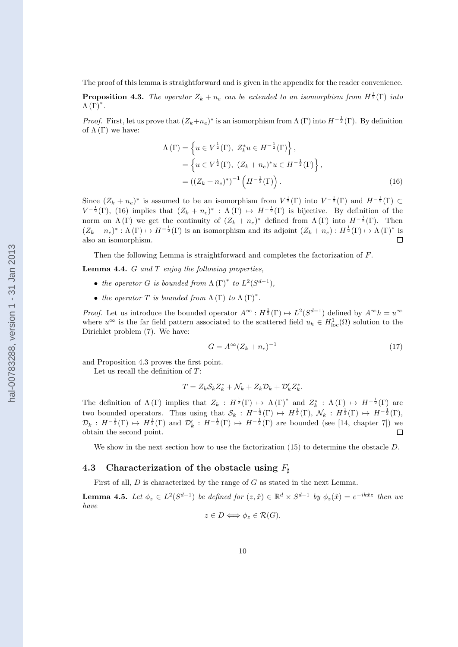<span id="page-9-0"></span>The proof of this lemma is straightforward and is given in the appendix for the reader convenience.

**Proposition 4.3.** The operator  $Z_k + n_e$  can be extended to an isomorphism from  $H^{\frac{1}{2}}(\Gamma)$  into  $\Lambda(\overline{\Gamma})^*$ .

*Proof.* First, let us prove that  $(Z_k+n_e)^*$  is an isomorphism from  $\Lambda(\Gamma)$  into  $H^{-\frac{1}{2}}(\Gamma)$ . By definition of  $\Lambda(\Gamma)$  we have:

$$
\Lambda(\Gamma) = \left\{ u \in V^{\frac{1}{2}}(\Gamma), Z_k^* u \in H^{-\frac{1}{2}}(\Gamma) \right\},
$$
  
= 
$$
\left\{ u \in V^{\frac{1}{2}}(\Gamma), (Z_k + n_e)^* u \in H^{-\frac{1}{2}}(\Gamma) \right\},
$$
  
= 
$$
((Z_k + n_e)^*)^{-1} \left( H^{-\frac{1}{2}}(\Gamma) \right).
$$
 (16)

Since  $(Z_k + n_e)^*$  is assumed to be an isomorphism from  $V^{\frac{1}{2}}(\Gamma)$  into  $V^{-\frac{1}{2}}(\Gamma)$  and  $H^{-\frac{1}{2}}(\Gamma) \subset$  $V^{-\frac{1}{2}}(\Gamma)$ , (16) implies that  $(Z_k + n_e)^* : \Lambda(\Gamma) \mapsto H^{-\frac{1}{2}}(\Gamma)$  is bijective. By definition of the norm on  $\Lambda(\Gamma)$  we get the continuity of  $(Z_k + n_e)^*$  defined from  $\Lambda(\Gamma)$  into  $H^{-\frac{1}{2}}(\Gamma)$ . Then  $(Z_k + n_e)^* : \Lambda(\Gamma) \to H^{-\frac{1}{2}}(\Gamma)$  is an isomorphism and its adjoint  $(Z_k + n_e) : H^{\frac{1}{2}}(\Gamma) \to \Lambda(\Gamma)^*$  is also an isomorphism.  $\Box$ 

Then the following Lemma is straightforward and completes the factorization of F.

**Lemma 4.4.**  $G$  and  $T$  enjoy the following properties,

- the operator G is bounded from  $\Lambda(\Gamma)^*$  to  $L^2(S^{d-1})$ ,
- the operator  $T$  is bounded from  $\Lambda(\Gamma)$  to  $\Lambda(\Gamma)^*$ .

*Proof.* Let us introduce the bounded operator  $A^{\infty}: H^{\frac{1}{2}}(\Gamma) \mapsto L^2(S^{d-1})$  defined by  $A^{\infty}h = u^{\infty}$ where  $u^{\infty}$  is the far field pattern associated to the scattered field  $u_h \in H^1_{loc}(\Omega)$  solution to the Dirichlet problem [\(7\)](#page-4-0). We have:

$$
G = A^{\infty} (Z_k + n_e)^{-1}
$$
\n<sup>(17)</sup>

and Proposition 4.3 proves the first point.

Let us recall the definition of T:

$$
T = Z_k S_k Z_k^* + \mathcal{N}_k + Z_k \mathcal{D}_k + \mathcal{D}'_k Z_k^*.
$$

The definition of  $\Lambda(\Gamma)$  implies that  $Z_k : H^{\frac{1}{2}}(\Gamma) \to \Lambda(\Gamma)^*$  and  $Z_k^* : \Lambda(\Gamma) \to H^{-\frac{1}{2}}(\Gamma)$  are two bounded operators. Thus using that  $S_k : H^{-\frac{1}{2}}(\Gamma) \to H^{\frac{1}{2}}(\Gamma)$ ,  $\mathcal{N}_k : H^{\frac{1}{2}}(\Gamma) \to H^{-\frac{1}{2}}(\Gamma)$ ,  $\mathcal{D}_k : H^{-\frac{1}{2}}(\Gamma) \mapsto H^{\frac{1}{2}}(\Gamma)$  and  $\mathcal{D}'_k : H^{-\frac{1}{2}}(\Gamma) \mapsto H^{-\frac{1}{2}}(\Gamma)$  are bounded (see [\[14,](#page-20-0) chapter 7]) we obtain the second point.  $\Box$ 

We show in the next section how to use the factorization [\(15\)](#page-7-0) to determine the obstacle D.

#### 4.3 Characterization of the obstacle using  $F_{\sharp}$

First of all, D is characterized by the range of G as stated in the next Lemma.

**Lemma 4.5.** Let  $\phi_z \in L^2(S^{d-1})$  be defined for  $(z, \hat{x}) \in \mathbb{R}^d \times S^{d-1}$  by  $\phi_z(\hat{x}) = e^{-ik\hat{x}z}$  then we have  $z \in D \Longleftrightarrow \phi_z \in \mathcal{R}(G)$ .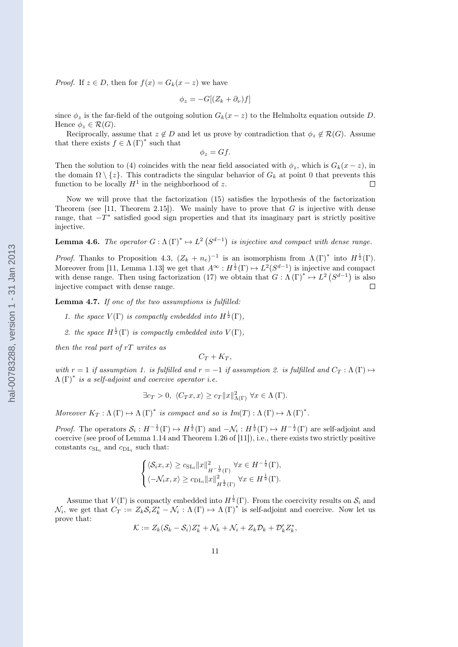<span id="page-10-0"></span>*Proof.* If  $z \in D$ , then for  $f(x) = G_k(x - z)$  we have

$$
\phi_z = -G[(Z_k + \partial_\nu)f]
$$

since  $\phi_z$  is the far-field of the outgoing solution  $G_k(x-z)$  to the Helmholtz equation outside D. Hence  $\phi_z \in \mathcal{R}(G)$ .

Reciprocally, assume that  $z \notin D$  and let us prove by contradiction that  $\phi_z \notin \mathcal{R}(G)$ . Assume that there exists  $f \in \Lambda(\Gamma)^*$  such that

$$
\phi_z = Gf.
$$

Then the solution to [\(4\)](#page-3-0) coincides with the near field associated with  $\phi_z$ , which is  $G_k(x-z)$ , in the domain  $\Omega \setminus \{z\}$ . This contradicts the singular behavior of  $G_k$  at point 0 that prevents this function to be locally  $H^1$  in the neighborhood of  $z$ function to be locally  $H^1$  in the neighborhood of z.

Now we will prove that the factorization [\(15\)](#page-7-0) satisfies the hypothesis of the factorization Theorem (see [\[11,](#page-20-0) Theorem 2.15]). We mainly have to prove that G is injective with dense range, that  $-T^*$  satisfied good sign properties and that its imaginary part is strictly positive injective.

**Lemma 4.6.** The operator  $G : \Lambda(\Gamma)^* \to L^2(S^{d-1})$  is injective and compact with dense range.

*Proof.* Thanks to Proposition [4.3,](#page-9-0)  $(Z_k + n_e)^{-1}$  is an isomorphism from  $\Lambda(\Gamma)^*$  into  $H^{\frac{1}{2}}(\Gamma)$ . Moreover from [\[11,](#page-20-0) Lemma 1.13] we get that  $A^{\infty}: H^{\frac{1}{2}}(\Gamma) \mapsto L^2(S^{d-1})$  is injective and compact with dense range. Then using factorization [\(17\)](#page-9-0) we obtain that  $G : \Lambda(\Gamma)^* \to L^2(S^{d-1})$  is also injective compact with dense range. П

Lemma 4.7. If one of the two assumptions is fulfilled:

- 1. the space  $V(\Gamma)$  is compactly embedded into  $H^{\frac{1}{2}}(\Gamma)$ ,
- 2. the space  $H^{\frac{1}{2}}(\Gamma)$  is compactly embedded into  $V(\Gamma)$ ,

then the real part of  $rT$  writes as

$$
C_T+K_T,
$$

with  $r = 1$  if assumption 1. is fulfilled and  $r = -1$  if assumption 2. is fulfilled and  $C_T : \Lambda(\Gamma) \mapsto$  $\Lambda(\Gamma)^*$  is a self-adjoint and coercive operator i.e.

$$
\exists c_T > 0, \ \langle C_T x, x \rangle \ge c_T ||x||^2_{\Lambda(\Gamma)} \ \forall x \in \Lambda(\Gamma).
$$

Moreover  $K_T: \Lambda(\Gamma) \mapsto \Lambda(\Gamma)^*$  is compact and so is  $Im(T): \Lambda(\Gamma) \mapsto \Lambda(\Gamma)^*$ .

*Proof.* The operators  $S_i: H^{-\frac{1}{2}}(\Gamma) \to H^{\frac{1}{2}}(\Gamma)$  and  $-\mathcal{N}_i: H^{\frac{1}{2}}(\Gamma) \to H^{-\frac{1}{2}}(\Gamma)$  are self-adjoint and coercive (see proof of Lemma 1.14 and Theorem 1.26 of [\[11\]](#page-20-0)), i.e., there exists two strictly positive constants  $c_{\text{SL}_i}$  and  $c_{\text{DL}_i}$  such that:

$$
\begin{cases} \langle \mathcal{S}_{i}x, x \rangle \geq c_{\mathrm{SL}_{i}} \|x\|_{H^{-\frac{1}{2}}(\Gamma)}^{2} \forall x \in H^{-\frac{1}{2}}(\Gamma), \\ \langle -\mathcal{N}_{i}x, x \rangle \geq c_{\mathrm{DL}_{i}} \|x\|_{H^{\frac{1}{2}}(\Gamma)}^{2} \forall x \in H^{\frac{1}{2}}(\Gamma). \end{cases}
$$

Assume that  $V(\Gamma)$  is compactly embedded into  $H^{\frac{1}{2}}(\Gamma)$ . From the coercivity results on  $S_i$  and  $\mathcal{N}_i$ , we get that  $C_T := Z_k \mathcal{S}_i Z_k^* - \mathcal{N}_i : \Lambda(\Gamma) \mapsto \Lambda(\Gamma)^*$  is self-adjoint and coercive. Now let us prove that:

$$
\mathcal{K} := Z_k(\mathcal{S}_k - \mathcal{S}_i)Z_k^* + \mathcal{N}_k + \mathcal{N}_i + Z_k \mathcal{D}_k + \mathcal{D}'_k Z_k^*,
$$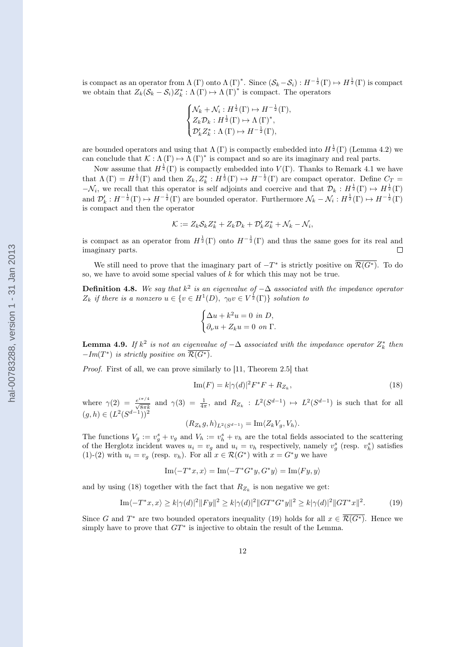<span id="page-11-0"></span>is compact as an operator from  $\Lambda(\Gamma)$  onto  $\Lambda(\Gamma)^*$ . Since  $(\mathcal{S}_k-\mathcal{S}_i): H^{-\frac{1}{2}}(\Gamma) \mapsto H^{\frac{1}{2}}(\Gamma)$  is compact we obtain that  $Z_k(S_k - S_i)Z_k^* : \Lambda(\Gamma) \to \Lambda(\Gamma)^*$  is compact. The operators

$$
\begin{cases} \mathcal{N}_k + \mathcal{N}_i : H^{\frac{1}{2}}(\Gamma) \mapsto H^{-\frac{1}{2}}(\Gamma), \\ Z_k \mathcal{D}_k : H^{\frac{1}{2}}(\Gamma) \mapsto \Lambda(\Gamma)^*, \\ \mathcal{D}'_k Z_k^* : \Lambda(\Gamma) \mapsto H^{-\frac{1}{2}}(\Gamma), \end{cases}
$$

are bounded operators and using that  $\Lambda(\Gamma)$  is compactly embedded into  $H^{\frac{1}{2}}(\Gamma)$  (Lemma [4.2\)](#page-8-0) we can conclude that  $\mathcal{K} : \Lambda(\Gamma) \to \Lambda(\Gamma)^*$  is compact and so are its imaginary and real parts.

Now assume that  $H^{\frac{1}{2}}(\Gamma)$  is compactly embedded into  $V(\Gamma)$ . Thanks to Remark [4.1](#page-8-0) we have that  $\Lambda(\Gamma) = H^{\frac{1}{2}}(\Gamma)$  and then  $Z_k, Z_k^* : H^{\frac{1}{2}}(\Gamma) \mapsto H^{-\frac{1}{2}}(\Gamma)$  are compact operator. Define  $C_T =$  $-\mathcal{N}_i$ , we recall that this operator is self adjoints and coercive and that  $\mathcal{D}_k : H^{\frac{1}{2}}(\Gamma) \mapsto H^{\frac{1}{2}}(\Gamma)$ and  $\mathcal{D}'_k: H^{-\frac{1}{2}}(\Gamma) \mapsto H^{-\frac{1}{2}}(\Gamma)$  are bounded operator. Furthermore  $\mathcal{N}_k - \mathcal{N}_i: H^{\frac{1}{2}}(\Gamma) \mapsto H^{-\frac{1}{2}}(\Gamma)$ is compact and then the operator

$$
\mathcal{K} := Z_k \mathcal{S}_k Z_k^* + Z_k \mathcal{D}_k + \mathcal{D}'_k Z_k^* + \mathcal{N}_k - \mathcal{N}_i,
$$

is compact as an operator from  $H^{\frac{1}{2}}(\Gamma)$  onto  $H^{-\frac{1}{2}}(\Gamma)$  and thus the same goes for its real and imaginary parts.  $\Box$ 

We still need to prove that the imaginary part of  $-T^*$  is strictly positive on  $\overline{\mathcal{R}(G^*)}$ . To do so, we have to avoid some special values of  $k$  for which this may not be true.

**Definition 4.8.** We say that  $k^2$  is an eigenvalue of  $-\Delta$  associated with the impedance operator  $Z_k$  if there is a nonzero  $u \in \{v \in H^1(D), \ \gamma_0 v \in V^{\frac{1}{2}}(\Gamma)\}\$  solution to

$$
\begin{cases} \Delta u + k^2 u = 0 \text{ in } D, \\ \partial_{\nu} u + Z_k u = 0 \text{ on } \Gamma. \end{cases}
$$

**Lemma 4.9.** If  $k^2$  is not an eigenvalue of  $-\Delta$  associated with the impedance operator  $Z_k^*$  then  $-Im(T^*)$  is strictly positive on  $\overline{\mathcal{R}(G^*)}$ .

Proof. First of all, we can prove similarly to [\[11,](#page-20-0) Theorem 2.5] that

$$
\operatorname{Im}(F) = k|\gamma(d)|^2 F^* F + R_{Z_k},\tag{18}
$$

where  $\gamma(2) = \frac{e^{i\pi/4}}{\sqrt{8\pi k}}$  and  $\gamma(3) = \frac{1}{4\pi}$ , and  $R_{Z_k} : L^2(S^{d-1}) \mapsto L^2(S^{d-1})$  is such that for all  $(g, h) \in (L^2(S^{d-1}))^2$ 

$$
(R_{Z_k}g, h)_{L^2(S^{d-1})} = \operatorname{Im}\langle Z_k V_g, V_h \rangle.
$$

The functions  $V_g := v_g^s + v_g$  and  $V_h := v_h^s + v_h$  are the total fields associated to the scattering of the Herglotz incident waves  $u_i = v_g$  and  $u_i = v_h$  respectively, namely  $v_g^s$  (resp.  $v_h^s$ ) satisfies [\(1\)](#page-1-0)-[\(2\)](#page-1-0) with  $u_i = v_g$  (resp.  $v_h$ ). For all  $x \in \mathcal{R}(G^*)$  with  $x = G^*y$  we have

$$
\mathrm{Im}\langle -T^*x,x\rangle=\mathrm{Im}\langle -T^*G^*y,G^*y\rangle=\mathrm{Im}\langle Fy,y\rangle
$$

and by using (18) together with the fact that  $R_{Z_k}$  is non negative we get:

Im
$$
\langle -T^*x, x \rangle \ge k |\gamma(d)|^2 ||Fy||^2 \ge k |\gamma(d)|^2 ||GT^*G^*y||^2 \ge k |\gamma(d)|^2 ||GT^*x||^2.
$$
 (19)

Since G and  $T^*$  are two bounded operators inequality (19) holds for all  $x \in \overline{\mathcal{R}(G^*)}$ . Hence we simply have to prove that  $GT^*$  is injective to obtain the result of the Lemma.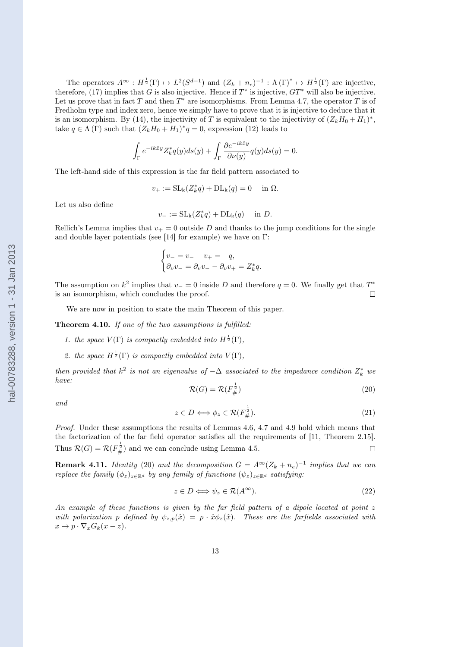<span id="page-12-0"></span>The operators  $A^{\infty}: H^{\frac{1}{2}}(\Gamma) \mapsto L^2(S^{d-1})$  and  $(Z_k + n_e)^{-1} : \Lambda(\Gamma)^* \mapsto H^{\frac{1}{2}}(\Gamma)$  are injective, therefore, [\(17\)](#page-9-0) implies that G is also injective. Hence if  $T^*$  is injective,  $GT^*$  will also be injective. Let us prove that in fact T and then  $T^*$  are isomorphisms. From Lemma [4.7,](#page-10-0) the operator T is of Fredholm type and index zero, hence we simply have to prove that it is injective to deduce that it is an isomorphism. By [\(14\)](#page-7-0), the injectivity of T is equivalent to the injectivity of  $(Z_kH_0 + H_1)^*$ , take  $q \in \Lambda(\Gamma)$  such that  $(Z_k H_0 + H_1)^* q = 0$ , expression [\(12\)](#page-7-0) leads to

$$
\int_{\Gamma} e^{-ik\hat{x}y} Z_k^* q(y) ds(y) + \int_{\Gamma} \frac{\partial e^{-ik\hat{x}y}}{\partial \nu(y)} q(y) ds(y) = 0.
$$

The left-hand side of this expression is the far field pattern associated to

$$
v_{+} := SL_{k}(Z_{k}^{*}q) + DL_{k}(q) = 0 \quad \text{in } \Omega.
$$

Let us also define

$$
v_- := SL_{k}(Z_k^*q) + DL_{k}(q) \quad \text{in } D.
$$

Rellich's Lemma implies that  $v_+ = 0$  outside D and thanks to the jump conditions for the single and double layer potentials (see [\[14\]](#page-20-0) for example) we have on Γ:

$$
\begin{cases} v_- = v_- - v_+ = -q, \\ \partial_\nu v_- = \partial_\nu v_- - \partial_\nu v_+ = Z_k^* q. \end{cases}
$$

The assumption on  $k^2$  implies that  $v = 0$  inside D and therefore  $q = 0$ . We finally get that  $T^*$ is an isomorphism, which concludes the proof.  $\Box$ 

We are now in position to state the main Theorem of this paper.

Theorem 4.10. If one of the two assumptions is fulfilled:

- 1. the space  $V(\Gamma)$  is compactly embedded into  $H^{\frac{1}{2}}(\Gamma)$ ,
- 2. the space  $H^{\frac{1}{2}}(\Gamma)$  is compactly embedded into  $V(\Gamma)$ ,

then provided that  $k^2$  is not an eigenvalue of  $-\Delta$  associated to the impedance condition  $Z_k^*$  we have: 1

$$
\mathcal{R}(G) = \mathcal{R}(F_{\#}^{\frac{1}{2}})
$$
\n<sup>(20)</sup>

and

$$
z \in D \Longleftrightarrow \phi_z \in \mathcal{R}(F_{\#}^{\frac{1}{2}}). \tag{21}
$$

Proof. Under these assumptions the results of Lemmas [4.6, 4.7](#page-10-0) and [4.9](#page-11-0) hold which means that the factorization of the far field operator satisfies all the requirements of [\[11,](#page-20-0) Theorem 2.15]. Thus  $\mathcal{R}(G) = \mathcal{R}(F_{\#}^{\frac{1}{2}})$  and we can conclude using Lemma [4.5.](#page-9-0)  $\Box$ 

**Remark 4.11.** Identity (20) and the decomposition  $G = A^{\infty} (Z_k + n_e)^{-1}$  implies that we can replace the family  $(\phi_z)_{z \in \mathbb{R}^d}$  by any family of functions  $(\psi_z)_{z \in \mathbb{R}^d}$  satisfying:

$$
z \in D \Longleftrightarrow \psi_z \in \mathcal{R}(A^{\infty}).
$$
\n<sup>(22)</sup>

An example of these functions is given by the far field pattern of a dipole located at point z with polarization p defined by  $\psi_{z,p}(\hat{x}) = p \cdot \hat{x} \phi_z(\hat{x})$ . These are the farfields associated with  $x \mapsto p \cdot \nabla_x G_k(x - z).$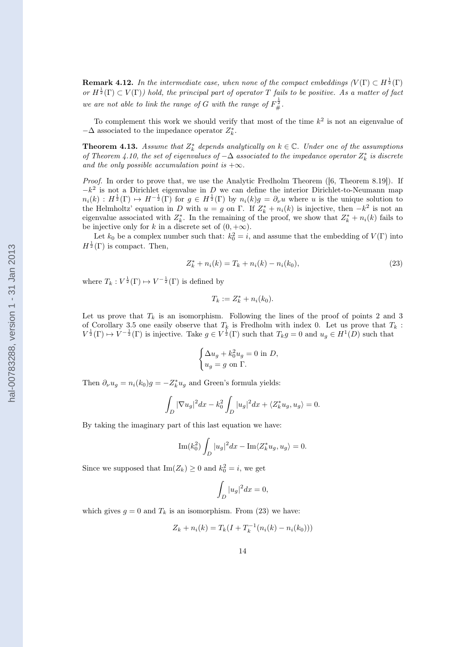<span id="page-13-0"></span>**Remark 4.12.** In the intermediate case, when none of the compact embeddings  $(V(\Gamma) \subset H^{\frac{1}{2}}(\Gamma)$ or  $H^{\frac{1}{2}}(\Gamma) \subset V(\Gamma)$  hold, the principal part of operator T fails to be positive. As a matter of fact we are not able to link the range of G with the range of  $F_{\#}^{\frac{1}{2}}$ .

To complement this work we should verify that most of the time  $k^2$  is not an eigenvalue of  $-\Delta$  associated to the impedance operator  $Z_k^*$ .

**Theorem 4.13.** Assume that  $Z_k^*$  depends analytically on  $k \in \mathbb{C}$ . Under one of the assumptions of Theorem [4.10,](#page-12-0) the set of eigenvalues of  $-\Delta$  associated to the impedance operator  $Z_k^*$  is discrete and the only possible accumulation point is  $+\infty$ .

Proof. In order to prove that, we use the Analytic Fredholm Theorem ([\[6,](#page-20-0) Theorem 8.19]). If  $-k^2$  is not a Dirichlet eigenvalue in D we can define the interior Dirichlet-to-Neumann map  $n_i(k)$ :  $H^{\frac{1}{2}}(\Gamma) \mapsto H^{-\frac{1}{2}}(\Gamma)$  for  $g \in H^{\frac{1}{2}}(\Gamma)$  by  $n_i(k)g = \partial_\nu u$  where u is the unique solution to the Helmholtz' equation in D with  $u = g$  on  $\Gamma$ . If  $Z_k^* + n_i(k)$  is injective, then  $-k^2$  is not an eigenvalue associated with  $Z_k^*$ . In the remaining of the proof, we show that  $Z_k^* + n_i(k)$  fails to be injective only for k in a discrete set of  $(0, +\infty)$ .

Let  $k_0$  be a complex number such that:  $k_0^2 = i$ , and assume that the embedding of  $V(\Gamma)$  into  $H^{\frac{1}{2}}(\Gamma)$  is compact. Then,

$$
Z_k^* + n_i(k) = T_k + n_i(k) - n_i(k_0),
$$
\n(23)

where  $T_k : V^{\frac{1}{2}}(\Gamma) \mapsto V^{-\frac{1}{2}}(\Gamma)$  is defined by

$$
T_k := Z_k^* + n_i(k_0).
$$

Let us prove that  $T_k$  is an isomorphism. Following the lines of the proof of points 2 and 3 of Corollary [3.5](#page-5-0) one easily observe that  $T_k$  is Fredholm with index 0. Let us prove that  $T_k$ :  $V^{\frac{1}{2}}(\Gamma) \mapsto V^{-\frac{1}{2}}(\Gamma)$  is injective. Take  $g \in V^{\frac{1}{2}}(\Gamma)$  such that  $T_k g = 0$  and  $u_g \in H^1(D)$  such that

$$
\begin{cases} \Delta u_g + k_0^2 u_g = 0 \text{ in } D, \\ u_g = g \text{ on } \Gamma. \end{cases}
$$

Then  $\partial_{\nu} u_g = n_i(k_0)g = -Z_k^* u_g$  and Green's formula yields:

$$
\int_D |\nabla u_g|^2 dx - k_0^2 \int_D |u_g|^2 dx + \langle Z_k^* u_g, u_g \rangle = 0.
$$

By taking the imaginary part of this last equation we have:

$$
\operatorname{Im}(k_0^2) \int_D |u_g|^2 dx - \operatorname{Im}\langle Z_k^* u_g, u_g \rangle = 0.
$$

Since we supposed that  $\text{Im}(Z_k) \geq 0$  and  $k_0^2 = i$ , we get

$$
\int_D |u_g|^2 dx = 0,
$$

which gives  $g = 0$  and  $T_k$  is an isomorphism. From (23) we have:

$$
Z_k + n_i(k) = T_k(I + T_k^{-1}(n_i(k) - n_i(k_0)))
$$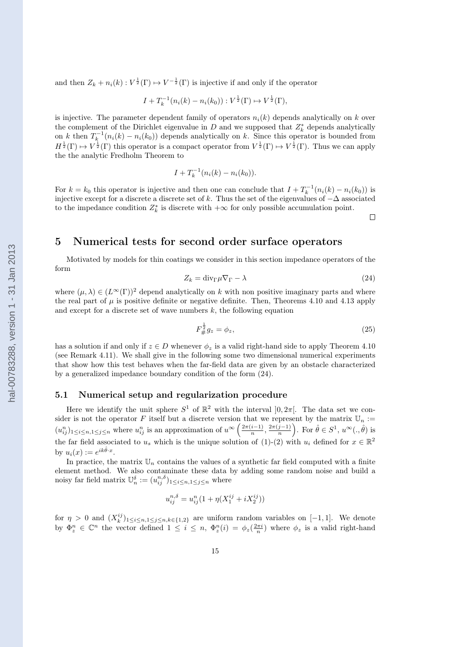and then  $Z_k + n_i(k) : V^{\frac{1}{2}}(\Gamma) \mapsto V^{-\frac{1}{2}}(\Gamma)$  is injective if and only if the operator

$$
I + T_k^{-1}(n_i(k) - n_i(k_0)) : V^{\frac{1}{2}}(\Gamma) \mapsto V^{\frac{1}{2}}(\Gamma),
$$

is injective. The parameter dependent family of operators  $n_i(k)$  depends analytically on k over the complement of the Dirichlet eigenvalue in  $D$  and we supposed that  $Z_k^*$  depends analytically on k then  $T_k^{-1}(n_i(k) - n_i(k_0))$  depends analytically on k. Since this operator is bounded from  $H^{\frac{1}{2}}(\Gamma) \mapsto V^{\frac{1}{2}}(\Gamma)$  this operator is a compact operator from  $V^{\frac{1}{2}}(\Gamma) \mapsto V^{\frac{1}{2}}(\Gamma)$ . Thus we can apply the the analytic Fredholm Theorem to

$$
I + T_k^{-1}(n_i(k) - n_i(k_0)).
$$

For  $k = k_0$  this operator is injective and then one can conclude that  $I + T_k^{-1}(n_i(k) - n_i(k_0))$  is injective except for a discrete a discrete set of k. Thus the set of the eigenvalues of  $-\Delta$  associated to the impedance condition  $Z_k^*$  is discrete with  $+\infty$  for only possible accumulation point.

 $\Box$ 

# 5 Numerical tests for second order surface operators

Motivated by models for thin coatings we consider in this section impedance operators of the form

$$
Z_k = \text{div}_{\Gamma} \mu \nabla_{\Gamma} - \lambda \tag{24}
$$

where  $(\mu, \lambda) \in (L^{\infty}(\Gamma))^2$  depend analytically on k with non positive imaginary parts and where the real part of  $\mu$  is positive definite or negative definite. Then, Theorems [4.10](#page-12-0) and [4.13](#page-13-0) apply and except for a discrete set of wave numbers  $k$ , the following equation

$$
F_{\#}^{\frac{1}{2}}g_z = \phi_z,\tag{25}
$$

has a solution if and only if  $z \in D$  whenever  $\phi_z$  is a valid right-hand side to apply Theorem [4.10](#page-12-0) (see Remark [4.11\)](#page-12-0). We shall give in the following some two dimensional numerical experiments that show how this test behaves when the far-field data are given by an obstacle characterized by a generalized impedance boundary condition of the form (24).

#### 5.1 Numerical setup and regularization procedure

Here we identify the unit sphere  $S^1$  of  $\mathbb{R}^2$  with the interval  $[0, 2\pi]$ . The data set we consider is not the operator F itself but a discrete version that we represent by the matrix  $\mathbb{U}_n$  :=  $(u_{ij}^n)_{1 \leq i \leq n, 1 \leq j \leq n}$  where  $u_{ij}^n$  is an approximation of  $u^{\infty} \left( \frac{2\pi(i-1)}{n} \right)$  $\frac{(i-1)}{n}, \frac{2\pi(j-1)}{n}$  $\left(\frac{j-1}{n}\right)$ . For  $\hat{\theta} \in S^1$ ,  $u^{\infty}(., \hat{\theta})$  is the far field associated to  $u_s$  which is the unique solution of [\(1\)](#page-1-0)-[\(2\)](#page-1-0) with  $u_i$  defined for  $x \in \mathbb{R}^2$ by  $u_i(x) := e^{ik\hat{\theta} \cdot x}$ .

In practice, the matrix  $\mathbb{U}_n$  contains the values of a synthetic far field computed with a finite element method. We also contaminate these data by adding some random noise and build a noisy far field matrix  $\mathbb{U}_n^{\delta} := (u_{ij}^{n,\delta})_{1 \leq i \leq n, 1 \leq j \leq n}$  where

$$
u_{ij}^{n,\delta} = u_{ij}^n (1 + \eta (X_1^{ij} + i X_2^{ij}))
$$

for  $\eta > 0$  and  $(X_k^{ij})_{1 \leq i \leq n, l \leq j \leq n, k \in \{1,2\}}$  are uniform random variables on  $[-1,1]$ . We denote by  $\Phi_z^n \in \mathbb{C}^n$  the vector defined  $1 \leq i \leq n$ ,  $\Phi_z^n(i) = \phi_z(\frac{2\pi i}{n})$  where  $\phi_z$  is a valid right-hand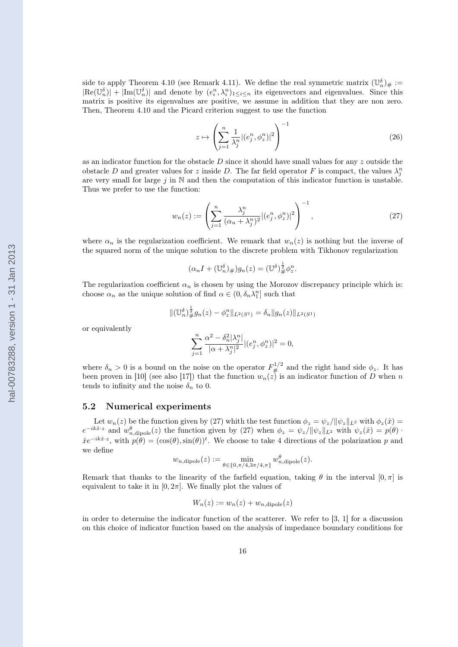side to apply Theorem [4.10](#page-12-0) (see Remark [4.11\)](#page-12-0). We define the real symmetric matrix  $(\mathbb{U}_n^{\delta})_{\#}$  :=  $|\text{Re}(\mathbb{U}_n^{\delta})| + |\text{Im}(\mathbb{U}_n^{\delta})|$  and denote by  $(e_i^n, \lambda_i^n)_{1 \leq i \leq n}$  its eigenvectors and eigenvalues. Since this matrix is positive its eigenvalues are positive, we assume in addition that they are non zero. Then, Theorem [4.10](#page-12-0) and the Picard criterion suggest to use the function

$$
z \mapsto \left(\sum_{j=1}^{n} \frac{1}{\lambda_j^n} |(e_j^n, \phi_z^n)|^2\right)^{-1} \tag{26}
$$

as an indicator function for the obstacle  $D$  since it should have small values for any  $z$  outside the obstacle D and greater values for z inside D. The far field operator F is compact, the values  $\lambda_j^n$ are very small for large  $j$  in  $\mathbb N$  and then the computation of this indicator function is unstable. Thus we prefer to use the function:

$$
w_n(z) := \left(\sum_{j=1}^n \frac{\lambda_j^n}{(\alpha_n + \lambda_j^n)^2} |(e_j^n, \phi_z^n)|^2\right)^{-1},\tag{27}
$$

where  $\alpha_n$  is the regularization coefficient. We remark that  $w_n(z)$  is nothing but the inverse of the squared norm of the unique solution to the discrete problem with Tikhonov regularization

$$
(\alpha_n I + (\mathbb{U}_n^{\delta})_{\#})g_n(z) = (\mathbb{U}^{\delta})_{\#}^{\frac{1}{2}} \phi_z^n.
$$

The regularization coefficient  $\alpha_n$  is chosen by using the Morozov discrepancy principle which is: choose  $\alpha_n$  as the unique solution of find  $\alpha \in (0, \delta_n \lambda_1^n]$  such that

$$
\|(\mathbb{U}_n^{\delta})_{\#}^{\frac{1}{2}}g_n(z)-\phi_z^n\|_{L^2(S^1)}=\delta_n\|g_n(z)\|_{L^2(S^1)}
$$

or equivalently

$$
\sum_{j=1}^n\frac{\alpha^2-\delta_n^2|\lambda_j^n|}{|\alpha+\lambda_j^n|^2}|(e_j^n,\phi_z^n)|^2=0,
$$

where  $\delta_n > 0$  is a bound on the noise on the operator  $F_{\#}^{1/2}$  and the right hand side  $\phi_z$ . It has been proven in [\[10\]](#page-20-0) (see also [\[17\]](#page-20-0)) that the function  $w_n(z)$  is an indicator function of D when n tends to infinity and the noise  $\delta_n$  to 0.

#### 5.2 Numerical experiments

Let  $w_n(z)$  be the function given by (27) whith the test function  $\phi_z = \psi_z / ||\psi_z||_{L^2}$  with  $\phi_z(\hat{x}) =$  $e^{-ik\hat{x}\cdot z}$  and  $w_{n,\text{dipole}}^{\theta}(z)$  the function given by (27) when  $\phi_z = \psi_z / ||\psi_z||_{L^2}$  with  $\psi_z(\hat{x}) = p(\theta)$ .  $\hat{x}e^{-ik\hat{x}\cdot z}$ , with  $p(\theta) = (\cos(\theta), \sin(\theta))^t$ . We choose to take 4 directions of the polarization p and we define

$$
w_{n,\text{dipole}}(z) := \min_{\theta \in \{0, \pi/4, 3\pi/4, \pi\}} w_{n,\text{dipole}}^{\theta}(z).
$$

Remark that thanks to the linearity of the farfield equation, taking  $\theta$  in the interval  $[0, \pi]$  is equivalent to take it in  $[0, 2\pi]$ . We finally plot the values of

$$
W_n(z) := w_n(z) + w_{n,\text{dipole}}(z)
$$

in order to determine the indicator function of the scatterer. We refer to [\[3, 1\]](#page-19-0) for a discussion on this choice of indicator function based on the analysis of impedance boundary conditions for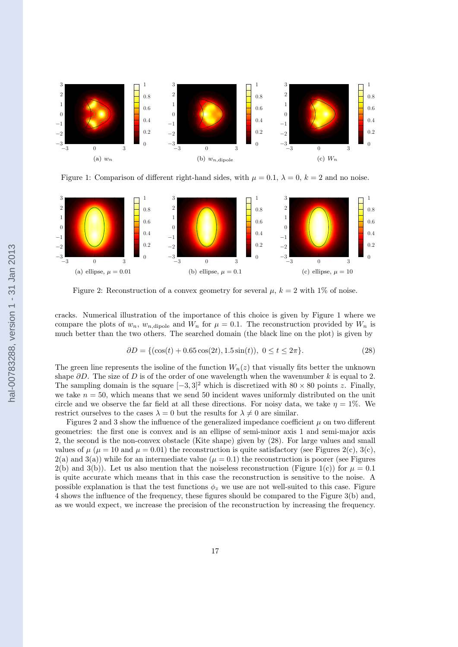

Figure 1: Comparison of different right-hand sides, with  $\mu = 0.1$ ,  $\lambda = 0$ ,  $k = 2$  and no noise.



Figure 2: Reconstruction of a convex geometry for several  $\mu$ ,  $k = 2$  with 1% of noise.

cracks. Numerical illustration of the importance of this choice is given by Figure 1 where we compare the plots of  $w_n$ ,  $w_{n,\text{dipole}}$  and  $W_n$  for  $\mu = 0.1$ . The reconstruction provided by  $W_n$  is much better than the two others. The searched domain (the black line on the plot) is given by

$$
\partial D = \{ (\cos(t) + 0.65 \cos(2t), 1.5 \sin(t)), 0 \le t \le 2\pi \}. \tag{28}
$$

The green line represents the isoline of the function  $W_n(z)$  that visually fits better the unknown shape  $\partial D$ . The size of D is of the order of one wavelength when the wavenumber k is equal to 2. The sampling domain is the square  $[-3, 3]^2$  which is discretized with  $80 \times 80$  points z. Finally, we take  $n = 50$ , which means that we send 50 incident waves uniformly distributed on the unit circle and we observe the far field at all these directions. For noisy data, we take  $\eta = 1\%$ . We restrict ourselves to the cases  $\lambda = 0$  but the results for  $\lambda \neq 0$  are similar.

Figures 2 and [3](#page-17-0) show the influence of the generalized impedance coefficient  $\mu$  on two different geometries: the first one is convex and is an ellipse of semi-minor axis 1 and semi-major axis 2, the second is the non-convex obstacle (Kite shape) given by (28). For large values and small values of  $\mu$  ( $\mu = 10$  and  $\mu = 0.01$ ) the reconstruction is quite satisfactory (see Figures 2(c), [3\(c\),](#page-17-0)  $2(a)$  and  $3(a)$ ) while for an intermediate value ( $\mu = 0.1$ ) the reconstruction is poorer (see Figures 2(b) and [3\(b\)\)](#page-17-0). Let us also mention that the noiseless reconstruction (Figure 1(c)) for  $\mu = 0.1$ is quite accurate which means that in this case the reconstruction is sensitive to the noise. A possible explanation is that the test functions  $\phi_z$  we use are not well-suited to this case. Figure [4](#page-17-0) shows the influence of the frequency, these figures should be compared to the Figure [3\(b\)](#page-17-0) and, as we would expect, we increase the precision of the reconstruction by increasing the frequency.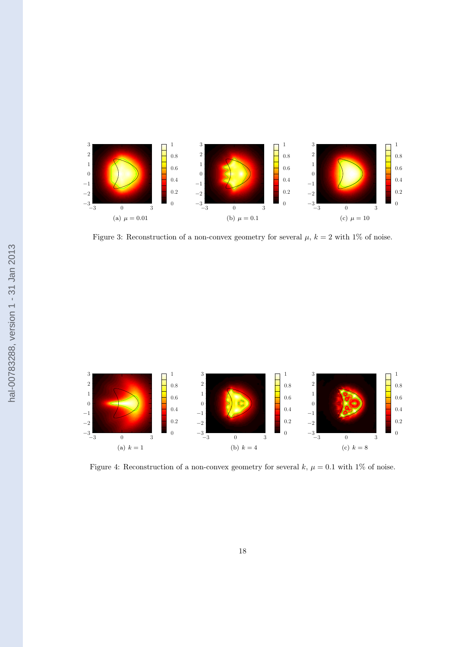<span id="page-17-0"></span>

Figure 3: Reconstruction of a non-convex geometry for several  $\mu$ ,  $k = 2$  with 1% of noise.



Figure 4: Reconstruction of a non-convex geometry for several  $k, \mu = 0.1$  with 1% of noise.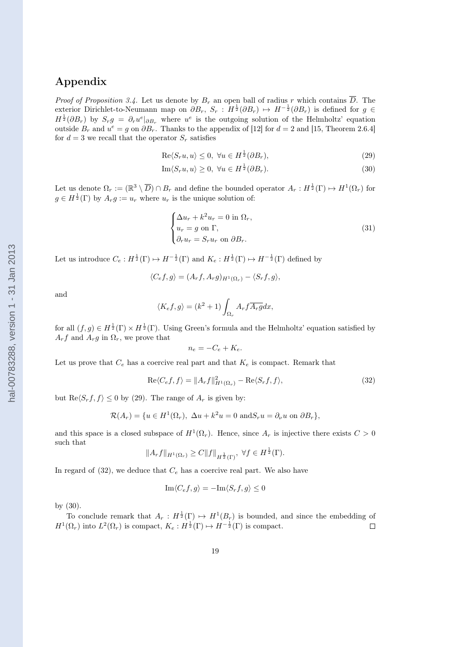# Appendix

*Proof of Proposition [3.4.](#page-5-0)* Let us denote by  $B_r$  an open ball of radius r which contains  $\overline{D}$ . The exterior Dirichlet-to-Neumann map on  $\partial B_r$ ,  $S_r$ :  $H^{\frac{1}{2}}(\partial B_r) \mapsto H^{-\frac{1}{2}}(\partial B_r)$  is defined for  $g \in$  $H^{\frac{1}{2}}(\partial B_r)$  by  $S_r g = \partial_r u^e|_{\partial B_r}$  where  $u^e$  is the outgoing solution of the Helmholtz' equation outside  $B_r$  and  $u^e = g$  on  $\partial B_r$ . Thanks to the appendix of [\[12\]](#page-20-0) for  $d = 2$  and [\[15,](#page-20-0) Theorem 2.6.4] for  $d = 3$  we recall that the operator  $S_r$  satisfies

$$
\text{Re}\langle S_r u, u \rangle \le 0, \ \forall u \in H^{\frac{1}{2}}(\partial B_r), \tag{29}
$$

$$
\operatorname{Im}\langle S_r u, u \rangle \ge 0, \ \forall u \in H^{\frac{1}{2}}(\partial B_r). \tag{30}
$$

Let us denote  $\Omega_r := (\mathbb{R}^3 \setminus \overline{D}) \cap B_r$  and define the bounded operator  $A_r : H^{\frac{1}{2}}(\Gamma) \mapsto H^1(\Omega_r)$  for  $g \in H^{\frac{1}{2}}(\Gamma)$  by  $A_r g := u_r$  where  $u_r$  is the unique solution of:

$$
\begin{cases}\n\Delta u_r + k^2 u_r = 0 \text{ in } \Omega_r, \\
u_r = g \text{ on } \Gamma, \\
\partial_r u_r = S_r u_r \text{ on } \partial B_r.\n\end{cases}
$$
\n(31)

Let us introduce  $C_e: H^{\frac{1}{2}}(\Gamma) \mapsto H^{-\frac{1}{2}}(\Gamma)$  and  $K_e: H^{\frac{1}{2}}(\Gamma) \mapsto H^{-\frac{1}{2}}(\Gamma)$  defined by

$$
\langle C_e f, g \rangle = (A_r f, A_r g)_{H^1(\Omega_r)} - \langle S_r f, g \rangle,
$$

and

$$
\langle K_e f, g \rangle = (k^2 + 1) \int_{\Omega_r} A_r f \overline{A_r g} dx,
$$

for all  $(f,g) \in H^{\frac{1}{2}}(\Gamma) \times H^{\frac{1}{2}}(\Gamma)$ . Using Green's formula and the Helmholtz' equation satisfied by  $A_r f$  and  $A_r g$  in  $\Omega_r$ , we prove that

$$
n_e = -C_e + K_e.
$$

Let us prove that  $C_e$  has a coercive real part and that  $K_e$  is compact. Remark that

$$
\operatorname{Re}\langle C_e f, f \rangle = \|A_r f\|_{H^1(\Omega_r)}^2 - \operatorname{Re}\langle S_r f, f \rangle,\tag{32}
$$

but  $\text{Re}\langle S_r f, f \rangle \leq 0$  by (29). The range of  $A_r$  is given by:

$$
\mathcal{R}(A_r) = \{ u \in H^1(\Omega_r), \ \Delta u + k^2 u = 0 \text{ and } S_r u = \partial_\nu u \text{ on } \partial B_r \},
$$

and this space is a closed subspace of  $H^1(\Omega_r)$ . Hence, since  $A_r$  is injective there exists  $C > 0$ such that

$$
||A_r f||_{H^1(\Omega_r)} \geq C||f||_{H^{\frac{1}{2}}(\Gamma)}, \ \forall f \in H^{\frac{1}{2}}(\Gamma).
$$

In regard of  $(32)$ , we deduce that  $C_e$  has a coercive real part. We also have

$$
\operatorname{Im}\langle C_e f, g \rangle = -\operatorname{Im}\langle S_r f, g \rangle \le 0
$$

by (30).

To conclude remark that  $A_r : H^{\frac{1}{2}}(\Gamma) \to H^1(B_r)$  is bounded, and since the embedding of  $H^1(\Omega_r)$  into  $L^2(\Omega_r)$  is compact,  $K_e: H^{\frac{1}{2}}(\Gamma) \mapsto H^{-\frac{1}{2}}(\Gamma)$  is compact.  $\Box$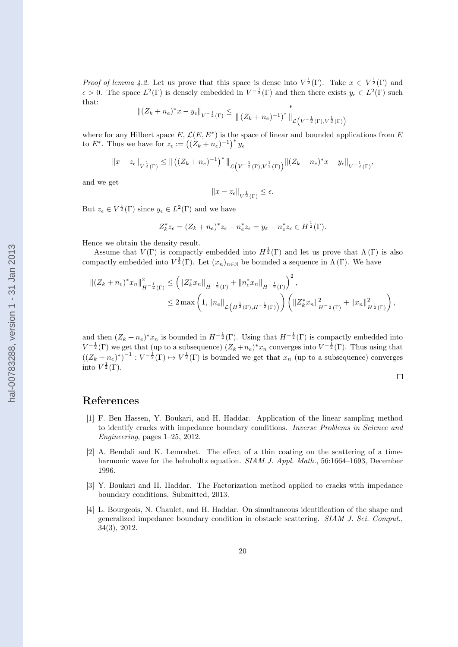<span id="page-19-0"></span>*Proof of lemma [4.2.](#page-8-0)* Let us prove that this space is dense into  $V^{\frac{1}{2}}(\Gamma)$ . Take  $x \in V^{\frac{1}{2}}(\Gamma)$  and  $\epsilon > 0$ . The space  $L^2(\Gamma)$  is densely embedded in  $V^{-\frac{1}{2}}(\Gamma)$  and then there exists  $y_{\epsilon} \in L^2(\Gamma)$  such that:  $\epsilon$ 

$$
||(Z_k + n_e)^* x - y_\epsilon||_{V^{-\frac{1}{2}}(\Gamma)} \leq \frac{\epsilon}{||(Z_k + n_e)^{-1})^*||_{\mathcal{L}(V^{-\frac{1}{2}}(\Gamma), V^{\frac{1}{2}}(\Gamma))}}
$$

where for any Hilbert space  $E, \mathcal{L}(E, E^*)$  is the space of linear and bounded applications from E to E<sup>\*</sup>. Thus we have for  $z_{\epsilon} := ((Z_k + n_e)^{-1})^* y_{\epsilon}$ 

$$
||x-z_{\epsilon}||_{V^{\frac{1}{2}}(\Gamma)} \le ||((Z_k+n_e)^{-1})^*||_{\mathcal{L}(V^{-\frac{1}{2}}(\Gamma),V^{\frac{1}{2}}(\Gamma))} ||(Z_k+n_e)^*x-y_{\epsilon}||_{V^{-\frac{1}{2}}(\Gamma)},
$$

and we get

$$
||x - z_{\epsilon}||_{V^{\frac{1}{2}}(\Gamma)} \leq \epsilon.
$$

But  $z_{\epsilon} \in V^{\frac{1}{2}}(\Gamma)$  since  $y_{\epsilon} \in L^2(\Gamma)$  and we have

$$
Z_k^* z_{\epsilon} = (Z_k + n_e)^* z_{\epsilon} - n_e^* z_{\epsilon} = y_{\epsilon} - n_e^* z_{\epsilon} \in H^{\frac{1}{2}}(\Gamma).
$$

Hence we obtain the density result.

Assume that  $V(\Gamma)$  is compactly embedded into  $H^{\frac{1}{2}}(\Gamma)$  and let us prove that  $\Lambda(\Gamma)$  is also compactly embedded into  $V^{\frac{1}{2}}(\Gamma)$ . Let  $(x_n)_{n\in\mathbb{N}}$  be bounded a sequence in  $\Lambda(\Gamma)$ . We have

$$
\begin{split} \left\| (Z_k + n_e)^* x_n \right\|_{H^{-\frac{1}{2}}(\Gamma)}^2 &\le \left( \left\| Z_k^* x_n \right\|_{H^{-\frac{1}{2}}(\Gamma)} + \left\| n_e^* x_n \right\|_{H^{-\frac{1}{2}}(\Gamma)} \right)^2, \\ &\le 2 \max \left( 1, \left\| n_e \right\|_{\mathcal{L}\left(H^{\frac{1}{2}}(\Gamma), H^{-\frac{1}{2}}(\Gamma)\right)} \right) \left( \left\| Z_k^* x_n \right\|_{H^{-\frac{1}{2}}(\Gamma)}^2 + \left\| x_n \right\|_{H^{\frac{1}{2}}(\Gamma)}^2 \right), \end{split}
$$

and then  $(Z_k + n_e)^* x_n$  is bounded in  $H^{-\frac{1}{2}}(\Gamma)$ . Using that  $H^{-\frac{1}{2}}(\Gamma)$  is compactly embedded into  $V^{-\frac{1}{2}}(\Gamma)$  we get that (up to a subsequence)  $(Z_k + n_e)^* x_n$  converges into  $V^{-\frac{1}{2}}(\Gamma)$ . Thus using that  $((Z_k + n_e)^*)^{-1} : V^{-\frac{1}{2}}(\Gamma) \mapsto V^{\frac{1}{2}}(\Gamma)$  is bounded we get that  $x_n$  (up to a subsequence) converges into  $V^{\frac{1}{2}}(\Gamma)$ .

$$
\Box
$$

## References

- [1] F. Ben Hassen, Y. Boukari, and H. Haddar. Application of the linear sampling method to identify cracks with impedance boundary conditions. Inverse Problems in Science and Engineering, pages 1–25, 2012.
- [2] A. Bendali and K. Lemrabet. The effect of a thin coating on the scattering of a timeharmonic wave for the helmholtz equation. SIAM J. Appl. Math., 56:1664–1693, December 1996.
- [3] Y. Boukari and H. Haddar. The Factorization method applied to cracks with impedance boundary conditions. Submitted, 2013.
- [4] L. Bourgeois, N. Chaulet, and H. Haddar. On simultaneous identification of the shape and generalized impedance boundary condition in obstacle scattering. SIAM J. Sci. Comput., 34(3), 2012.